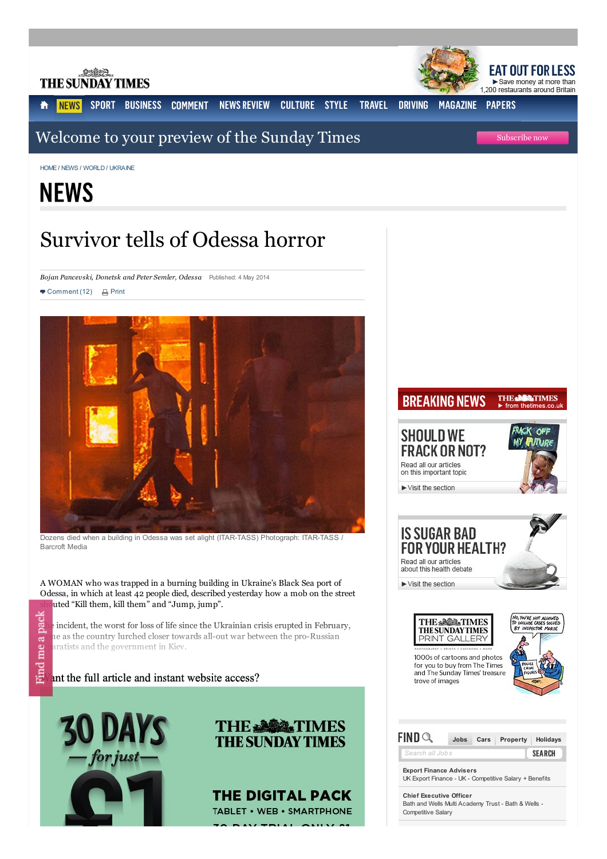

[HOME](/sto/)**/** [NEWS](/sto/news/) **/** [WORLD](/sto/news/world_news/) **/** [UKRAINE](/sto/news/world_news/Ukraine/)

# **NEWS**

## Survivor tells of Odessa horror

*Bojan Pancevski, Donetsk and Peter Semler, Odessa* Published: 4 May 2014

 $\blacksquare$  Comment (12)  $\blacksquare$  Print



Dozens died when a building in Odessa was set alight (ITAR-TASS) Photograph: ITAR-TASS / Barcroft Media

A WOMAN who was trapped in a burning building in Ukraine's Black Sea port of Odessa, in which at least 42 people died, described yesterday how a mob on the street uted "Kill them, kill them" and "Jump, jump".

 $\sum_{n=1}^{\infty}$  incident, the worst for loss of life since the Ukrainian crisis erupted in February, call he as the country lurched closer towards all-out war between the pro-Russian  $\mathbf{e}_1$  aratists and the government in Kiev. aratists and the government in Kiev.

int the full article and instant website access?



Find





POLAT ONLY





**Export Finance [Advisers](http://pubads.g.doubleclick.net/gampad/clk?id=191112534&iu=/3048/thesundaytimes/runofsite)** UK Export Finance - UK - Competitive Salary + Benefits

**Chief [Executive](http://pubads.g.doubleclick.net/gampad/clk?id=169428054&iu=/3048/thesundaytimes/runofsite) Officer** Bath and Wells Multi Academy Trust - Bath & Wells - Competitive Salary